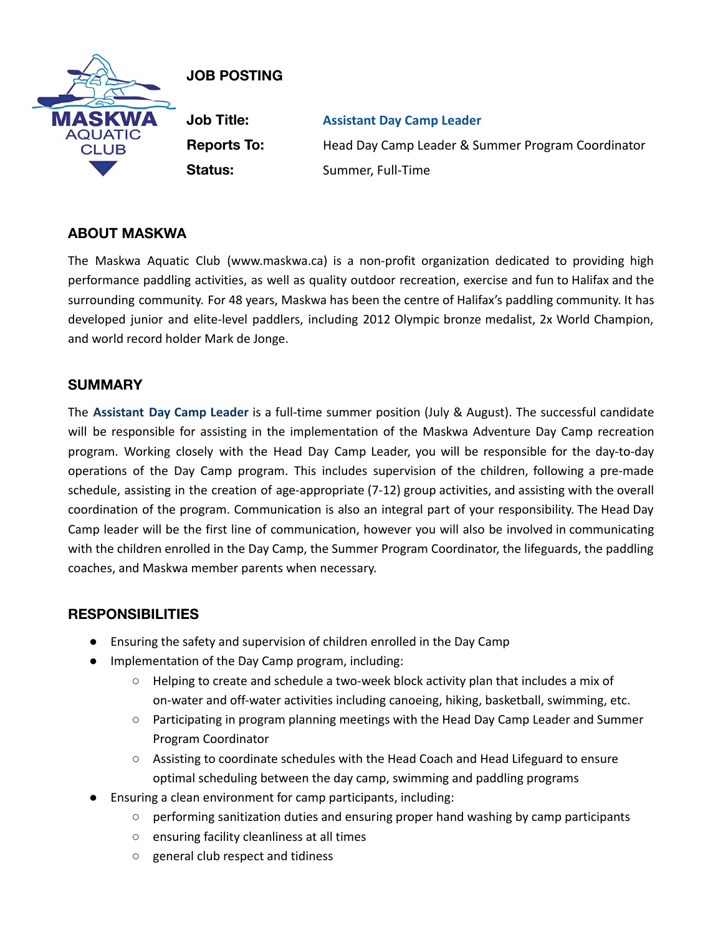

# **JOB POSTING**

**Job Title: Assistant Day Camp Leader Reports To:** Head Day Camp Leader & Summer Program Coordinator **Status:** Summer, Full-Time

## **ABOUT MASKWA**

The Maskwa Aquatic Club (www.maskwa.ca) is a non-profit organization dedicated to providing high performance paddling activities, as well as quality outdoor recreation, exercise and fun to Halifax and the surrounding community. For 48 years, Maskwa has been the centre of Halifax's paddling community. It has developed junior and elite-level paddlers, including 2012 Olympic bronze medalist, 2x World Champion, and world record holder Mark de Jonge.

### **SUMMARY**

The **Assistant Day Camp Leader** is a full-time summer position (July & August). The successful candidate will be responsible for assisting in the implementation of the Maskwa Adventure Day Camp recreation program. Working closely with the Head Day Camp Leader, you will be responsible for the day-to-day operations of the Day Camp program. This includes supervision of the children, following a pre-made schedule, assisting in the creation of age-appropriate (7-12) group activities, and assisting with the overall coordination of the program. Communication is also an integral part of your responsibility. The Head Day Camp leader will be the first line of communication, however you will also be involved in communicating with the children enrolled in the Day Camp, the Summer Program Coordinator, the lifeguards, the paddling coaches, and Maskwa member parents when necessary.

### **RESPONSIBILITIES**

- Ensuring the safety and supervision of children enrolled in the Day Camp
- Implementation of the Day Camp program, including:
	- Helping to create and schedule a two-week block activity plan that includes a mix of on-water and off-water activities including canoeing, hiking, basketball, swimming, etc.
	- Participating in program planning meetings with the Head Day Camp Leader and Summer Program Coordinator
	- Assisting to coordinate schedules with the Head Coach and Head Lifeguard to ensure optimal scheduling between the day camp, swimming and paddling programs
- Ensuring a clean environment for camp participants, including:
	- performing sanitization duties and ensuring proper hand washing by camp participants
	- ensuring facility cleanliness at all times
	- general club respect and tidiness